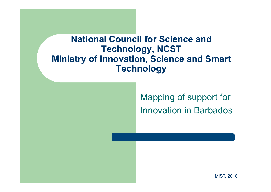#### **National Council for Science and Technology, NCST Ministry of Innovation, Science and Smart Technology**

Mapping of support for Innovation in Barbados

MIST, 2018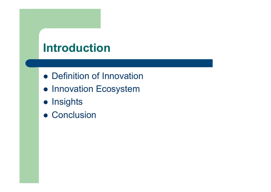# **Introduction**

- Definition of Innovation
- **Innovation Ecosystem**
- Insights
- Conclusion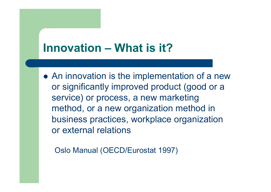### **Innovation – What is it?**

• An innovation is the implementation of a new or significantly improved product (good or a service) or process, a new marketing method, or a new organization method in business practices, workplace organization or external relations

Oslo Manual (OECD/Eurostat 1997)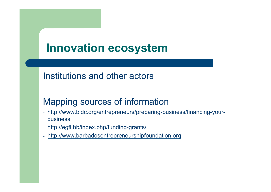### **Innovation ecosystem**

#### Institutions and other actors

### Mapping sources of information

- http://www.bidc.org/entrepreneurs/preparing-business/financing-yourbusiness
- http://egfl.bb/index.php/funding-grants/
- http://www.barbadosentrepreneurshipfoundation.org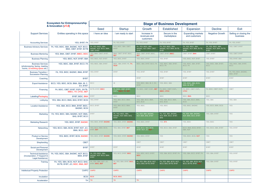| <b>Ecosystem for Entrepreneurship</b><br>& Innovation (v1.0)                                |                                                                        | <b>Stage of Business Development</b>                         |                                                             |                                                              |                                                              |                                                              |                                                              |                                      |
|---------------------------------------------------------------------------------------------|------------------------------------------------------------------------|--------------------------------------------------------------|-------------------------------------------------------------|--------------------------------------------------------------|--------------------------------------------------------------|--------------------------------------------------------------|--------------------------------------------------------------|--------------------------------------|
|                                                                                             |                                                                        | Seed                                                         | Startup                                                     | Growth                                                       | Established                                                  | Expansion                                                    | Decline                                                      | <b>Fxit</b>                          |
| <b>Support Services</b>                                                                     | Entities operating in this space                                       | I have an idea                                               | I am ready to start                                         | Increase in<br>revenues and<br>customers                     | Secure in the<br>marketplace                                 | <b>Expanding markets</b><br>and customers                    | <b>Negative Growth</b>                                       | Selling or closing the<br>business   |
| <b>Accounting Services</b>                                                                  | YES, BYBT, FA                                                          | YES, BYBT                                                    | FA, YES, BYBT                                               | FA, YES, BYBT                                                | FA, YES, BYBT                                                | FA, YES, BYBT                                                | FA, YES, BYBT                                                | FA, YES, BYBT                        |
| <b>Business Advisory Services</b>                                                           | FA, YES, BIDC, SBA, BADMC, NCF, BCCI,<br>BMA, CBET, BYBT, BVTB         | FA. YES, BIDC, SBA.<br>BADMC, NCF, BCCI, BMA,<br>CBET, BYBT  | YES, BIDC, SBA, CBET,<br><b>BYBT</b>                        | FA, YES, BIDC, SBA,<br>BADMC, NCF, BMA, CBET,<br><b>BYBT</b> | FA. YES, BIDC, SBA.<br>BADMC, NCF, BMA, BVTB,<br><b>BYBT</b> | FA. YES, BIDC, SBA.<br>BADMC, NCF, BMA, BVTB,<br><b>BYBT</b> | FA, YES, BIDC, SBA,<br>BADMC, NCF, BMA, BVTB,<br><b>BYBT</b> | YES, CBET, BYBT                      |
| <b>Business Mentoring</b>                                                                   | YES, BMA, CBET, BYBT, BBEC, BIDC                                       | YES, BMA, CBET, BYBT,<br><b>BEF</b>                          | BMA, CBET, BYBT, BIDC.<br><b>BEF</b>                        | BMA, CBET, BYBT, BIDC,<br><b>BEF</b>                         | CBET, BYBT, BBEC                                             | CBET, BYBT, BMA                                              | CBET, BYBT                                                   | YES, CBET, BYBT                      |
| <b>Business Planning</b>                                                                    | YES, BIDC, NCF, BYBT, SBA                                              | YES, BIDC, NCF, BYBT                                         | YES, BIDC, BYBT                                             | YES, BIDC, BYBT                                              | YES, BYBT                                                    | YES, BIDC, NCF, BYBT                                         | YES, BYBT                                                    | YES, BYBT, SBA                       |
| <b>Business Services</b><br>(photocopying, faxing, meeting<br>rooms, co-working space etc.) | YES, BIDC, SBA, BYBT, BCCI, FA                                         | YES, BIDC, SBA, BYBT                                         | BIDC, SBA, BYBT, FA, TH,<br><b>ROW</b>                      | BIDC, SBA, BYBT, BCCI, FA                                    | YES, BIDC, SBA, BYBT,<br><b>BCCI, FA</b>                     | YES, BIDC, SBA, BYBT,<br>BCCI, FA                            | YES, BIDC, SBA, BYBT,<br><b>BCCI</b>                         | YES, BIDC, SBA, BYBT,<br><b>BCCI</b> |
| <b>Business Transition /</b><br><b>Succession Planning</b>                                  | FA, YES, BIDC, BADMC, BMA, BYBT                                        | YES, BYBT                                                    | <b>BYBT</b>                                                 | YES, BYBT                                                    | YES, BYBT                                                    | YES, BYBT                                                    | YES, BYBT                                                    | FA, YES, BIDC, BADMC,<br>BMA, BYBT   |
| Coaching                                                                                    | <b>BYBT</b>                                                            |                                                              |                                                             | <b>BYBT</b>                                                  | <b>BYBT</b>                                                  | <b>BYBT</b>                                                  | <b>BYBT</b>                                                  | <b>BYBT</b>                          |
| <b>Export Assistance</b>                                                                    | BCCI, YES, BIDC, BCSI, BMA, SBA, IB, C.<br>EX, BYBT                    | <b>BCCI</b>                                                  | IB.                                                         | YES, BIDC, SBA, IB, C. EX.<br><b>BYBT</b>                    | YES, BIDC, SBA                                               | YES, BIDC, SBA, BCSI,<br>BMA, IB, BYBT                       |                                                              |                                      |
| Financing                                                                                   | FA, BIDC, CBET, BYBT, EGFL, BVTB,<br><b>BBEC, TH, CFSC, BEF</b>        | BVTB, BYBT, BBEC                                             | FA, BIDC, CBET, BYBT,<br>EGFL, BBEC, TH, BEF                | FA, BIDC, CBET, EGFL, BEF                                    | FA, BIDC, CBET, EGFL<br><b>BBEC, CFSC</b>                    | FA, BIDC, CBET, EGFL,<br><b>CFSC</b>                         | FA, BIDC, CBET, EGFL                                         | CBET                                 |
| Labelling/Packaging                                                                         | BYBT, BIDC, BMA                                                        | <b>BYBT</b>                                                  | <b>BIDC</b>                                                 | <b>BIDC</b>                                                  | <b>BIDC</b>                                                  | BIDC, BMA                                                    | <b>BIDC</b>                                                  |                                      |
| Lobbying                                                                                    | YES, SBA, BCCI, BMA, BAS, BYBT, BCSI                                   | YES, BYBT                                                    | YES, SBA, BCCI, BMA,<br><b>BYBT</b>                         | YES, SBA, BCCI, BMA,<br><b>BAS, BCSI</b>                     | YES, SBA, BCCI, BMA,<br><b>BAS, BCSI</b>                     | YES, SBA, BCCI, BMA,<br><b>BCSI</b>                          | YES, SBA                                                     | YES, SBA                             |
| <b>Location Assistance</b>                                                                  | YES, SBA, BCCI, BMA, BYBT, BIDC,<br><b>BADMC, BCSI</b>                 | <b>BCCI, BYBT</b>                                            | YES, SBA, BCCI, BMA,<br><b>BYBT</b>                         | YES, BIDC                                                    | YES, BIDC                                                    | YES, BIDC, BADMC                                             | YES, BCCI, BMA, BCSI                                         | <b>YES</b>                           |
| Marketing                                                                                   | FA, YES, BIDC, SBA, BADMC, NCF, BMA.<br><b>BAS, BYBT, BCCI</b>         | <b>BYBT</b>                                                  | FA. YES. BIDC. SBA.<br>BADMC, NCF, BMA, BAS,<br><b>BYBT</b> | FA. YES, SBA, BADMC.<br>NCF, BMA, BAS, BYBT                  | FA. YES. SBA. BADMC.<br>NCF, BMA, BCCI, BYBT,<br><b>BAS</b>  | FA. YES. SBA. BADMC.<br>NCF, BMA, BCCI, BYBT                 | YES, SBA, BYBT                                               | <b>YES</b>                           |
| <b>Marketing Research</b>                                                                   | YES, BIDC, BYBT, BADMC                                                 | YES, BIDC, BYBT, BADMC                                       | YES, BIDC, BYBT, BADMC                                      | YES, BIDC, BYBT                                              | YES, BTA                                                     | YES, BIDC                                                    | YES, BIDC                                                    | <b>YES</b>                           |
| <b>Networking</b>                                                                           | YES, BCCI, SBA, BCSI, BYBT, NCF, JCI,<br><b>BMA, BCCI, BEF</b>         | YES, BCCI, BMA, BCSI,<br>BYBT, BEF                           | YES, SBA, BYBT, BEF                                         | YES, BCCI, SBA, BCSI,<br>BYBT, NCF, JCI, BEF                 | YES, BCCI, SBA, BYBT                                         | BCCI, BMA, BCSI, BYBT,<br>SBA, NCF                           | YES, BCCI, SBA, BYBT                                         | YES, BYBT                            |
| <b>Product or Service</b><br>Development                                                    | YES, BIDC, BYBT, BCSI, BADMC                                           | YES, BIDC, BYBT, BADMC                                       | YES, BIDC, BYBT, BADMC                                      | YES, BIDC, BYBT                                              | <b>YES</b>                                                   | YES, BIDC, BCSI, NCF                                         | <b>YES</b>                                                   | <b>YES</b>                           |
| Shepherding                                                                                 | <b>CBET</b>                                                            |                                                              |                                                             | CBET                                                         | CBET                                                         | CBET                                                         | CBET                                                         | CBET                                 |
| Social and Personal<br>Development                                                          | <b>BYBT</b>                                                            | <b>BYBT</b>                                                  | <b>BYBT</b>                                                 | <b>BYBT</b>                                                  | <b>BYBT</b>                                                  | <b>BYBT</b>                                                  | <b>BYBT</b>                                                  | <b>BYBT</b>                          |
| <b>Technical Assistance</b><br>(Incorporation, IT Support &<br>Legal Assistance)            | FA, YES, BIDC, SBA, BADMC, NCF, BCCI,<br><b>BMA, BYBT</b>              | FA, YES, BIDC, SBA,<br>BADMC, NCF, BCCI, BMA,<br><b>BYBT</b> | YES, BCCI, BYBT, BIDC                                       | YES, BIDC, BCCI, BYBT,<br><b>BIDC</b>                        | YES, SBA, BCCI, BYBT, FA                                     | YES, SBA, BCCI, BYBT, FA                                     | YES, SBA, BYBT                                               | YES, BYBT                            |
| Training                                                                                    | FA, YES, SBA, BCSI, NCF, BCCI, BAS,<br>BVTB, BYBT, JCI, BIDC, BMA, BEF | FA, YES, SBA, NCF, JCI,<br>BYBT. BIDC. BEF                   | FA, YES, SBA, BYBT, BIDC,<br><b>BEF</b>                     | FA, YES, SBA, BCSI, NCF.<br><b>BCCI, BAS, BVTB, BYBT</b>     | FA, YES, SBA, BCSI, NCF,<br><b>BCCI, BAS, BVTB, BYBT</b>     | FA, YES, SBA, BCSI, NCF,<br>BCCI, BVTB, BYBT, E              | YES, SBA, BYBT                                               | YES, BYBT                            |
| <b>Intellectual Property Protection</b>                                                     | <b>CAIPO</b>                                                           | <b>CAIPO</b>                                                 | <b>CAIPO</b>                                                | <b>CAIPO</b>                                                 | <b>CAIPO</b>                                                 | <b>CAIPO</b>                                                 | <b>CAIPO</b>                                                 | <b>CAIPO</b>                         |
| Incubation                                                                                  | <b>BCSI</b>                                                            | <b>BCSI</b>                                                  | <b>BCSI, BIDC</b>                                           |                                                              |                                                              |                                                              |                                                              |                                      |
| Acceleration                                                                                | <b>TH</b>                                                              | <b>TH</b>                                                    | TH.                                                         | TH.                                                          |                                                              |                                                              |                                                              |                                      |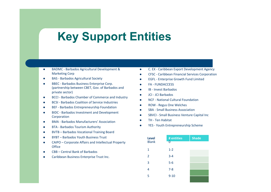### **Key Support Entities**

- BADMC Barbados Agricultural Development & **Marketing Corp**
- BAS Barbados Agricultural Society
- BBEC Barbados Business Enterprise Corp. (partnership between CBET, Gov. of Barbados and private sector)
- BCCI Barbados Chamber of Commerce and Industry
- BCSI Barbados Coalition of Service Industries
- BEF Barbados Entrepreneurship Foundation
- BIDC Barbados Investment and Development Corporation
- BMA Barbados Manufacturers' Association
- BTA Barbados Tourism Authority
- BVTB Barbados Vocational Training Board
- BYBT Barbados Youth Business Trust
- CAIPO Corporate Affairs and Intellectual Property **Office**
- CBB Central Bank of Barbados
- Caribbean Business Enterprise Trust Inc.
- **.** C. EX Caribbean Export Development Agency
- CFSC Caribbean Financial Services Corporation
- **.** EGFL Enterprise Growth Fund Limited
- **FA FUNDACCESS**
- **IB** Invest Barbados
- $\bullet$  ICI ICI Barbados
- NCF National Cultural Foundation
- ROW Regus One Welches
- **SBA** Small Business Association
- **SBVCI Small Business Venture Capital Inc.**
- TH Ten Habitat
- YES Youth Entrepreneurship Scheme

| <b>Level</b><br><b>Blank</b> | # entities<br>0 | <b>Shade</b> |
|------------------------------|-----------------|--------------|
|                              |                 |              |
| 1                            | $1 - 2$         |              |
| $\overline{2}$               | $3 - 4$         |              |
| 3                            | $5-6$           |              |
| 4                            | $7 - 8$         |              |
| 5                            | $9 - 10$        |              |
|                              |                 |              |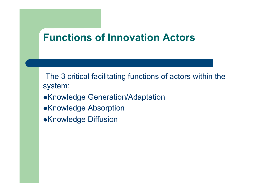### **Functions of Innovation Actors**

The 3 critical facilitating functions of actors within the system:

- **.Knowledge Generation/Adaptation**
- •Knowledge Absorption
- **.Knowledge Diffusion**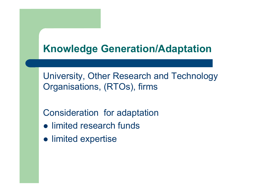### **Knowledge Generation/Adaptation**

University, Other Research and Technology Organisations, (RTOs), firms

Consideration for adaptation

- limited research funds
- limited expertise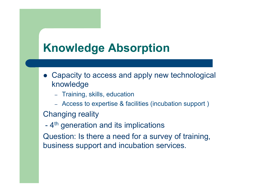## **Knowledge Absorption**

- Capacity to access and apply new technological knowledge
	- Training, skills, education
	- Access to expertise & facilities (incubation support )

Changing reality

- 4<sup>th</sup> generation and its implications

Question: Is there a need for a survey of training, business support and incubation services.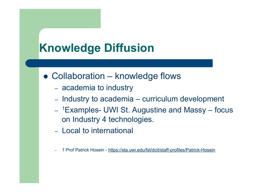# **Knowledge Diffusion**

- $\bullet$  Collaboration knowledge flows
	- academia to industry
	- Industry to academia curriculum development
	- 1Examples- UWI St. Augustine and Massy focus on Industry 4 technologies.
	- Local to international
	- 1 Prof Patrick Hosein https://sta.uwi.edu/fst/dcit/staff-profiles/Patrick-Hosein